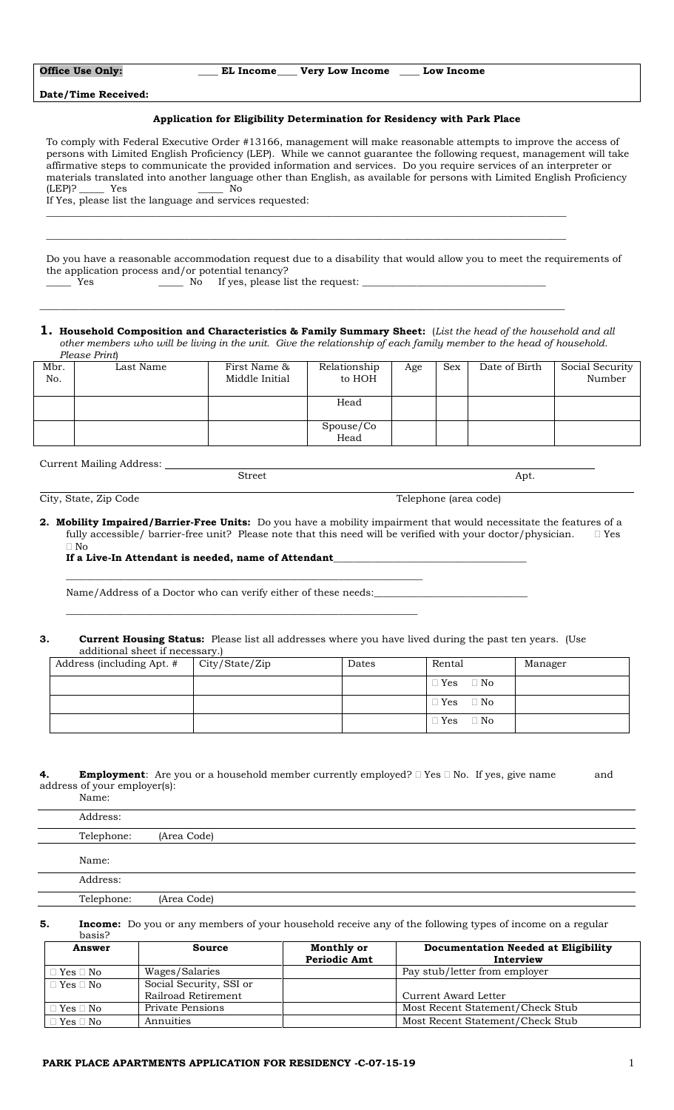| <b>Office Use Only:</b> |  |
|-------------------------|--|
|-------------------------|--|

EL Income Very Low Income Low Income

**Date/Time Received:**

# **Application for Eligibility Determination for Residency with Park Place**

To comply with Federal Executive Order #13166, management will make reasonable attempts to improve the access of persons with Limited English Proficiency (LEP). While we cannot guarantee the following request, management will take affirmative steps to communicate the provided information and services. Do you require services of an interpreter or materials translated into another language other than English, as available for persons with Limited English Proficiency  $(LEP)?$ If Yes, please list the language and services requested:

\_\_\_\_\_\_\_\_\_\_\_\_\_\_\_\_\_\_\_\_\_\_\_\_\_\_\_\_\_\_\_\_\_\_\_\_\_\_\_\_\_\_\_\_\_\_\_\_\_\_\_\_\_\_\_\_\_\_\_\_\_\_\_\_\_\_\_\_\_\_\_\_\_\_\_\_\_\_\_\_\_\_\_\_\_\_\_\_\_\_\_\_\_\_\_\_\_\_\_\_\_\_\_\_\_

Do you have a reasonable accommodation request due to a disability that would allow you to meet the requirements of the application process and/or potential tenancy?

\_\_\_\_\_\_\_\_\_\_\_\_\_\_\_\_\_\_\_\_\_\_\_\_\_\_\_\_\_\_\_\_\_\_\_\_\_\_\_\_\_\_\_\_\_\_\_\_\_\_\_\_\_\_\_\_\_\_\_\_\_\_\_\_\_\_\_\_\_\_\_\_\_\_\_\_\_\_\_\_\_\_\_\_\_\_\_\_\_\_\_\_\_\_\_\_\_\_\_\_\_\_\_\_\_

\_\_\_\_\_\_\_\_\_\_\_\_\_\_\_\_\_\_\_\_\_\_\_\_\_\_\_\_\_\_\_\_\_\_\_\_\_\_\_\_\_\_\_\_\_\_\_\_\_\_\_\_\_\_\_\_\_\_\_\_\_\_\_\_\_\_\_\_\_\_\_\_\_\_\_\_\_\_\_\_\_\_\_\_\_\_\_\_\_\_\_\_\_\_\_\_\_\_\_\_\_\_\_\_\_\_

\_\_\_\_\_ Yes \_\_\_\_\_ No If yes, please list the request: \_\_\_\_\_\_\_\_\_\_\_\_\_\_\_\_\_\_\_\_\_\_\_\_\_\_\_\_\_\_\_\_\_\_\_\_\_

**1. Household Composition and Characteristics & Family Summary Sheet:** (*List the head of the household and all other members who will be living in the unit. Give the relationship of each family member to the head of household*. *Please Print*)

|             | The Thirty |                                |                        |     |            |               |                           |
|-------------|------------|--------------------------------|------------------------|-----|------------|---------------|---------------------------|
| Mbr.<br>No. | Last Name  | First Name &<br>Middle Initial | Relationship<br>to HOH | Age | <b>Sex</b> | Date of Birth | Social Security<br>Number |
|             |            |                                | Head                   |     |            |               |                           |
|             |            |                                | Spouse/Co<br>Head      |     |            |               |                           |

Street Apt.

Current Mailing Address:

City, State, Zip Code Telephone (area code)

**2. Mobility Impaired/Barrier-Free Units:** Do you have a mobility impairment that would necessitate the features of a fully accessible/ barrier-free unit? Please note that this need will be verified with your doctor/physician.  $\Box$  Yes No

## If a Live-In Attendant is needed, name of Attendant\_

Name/Address of a Doctor who can verify either of these needs:

 $\_$  , and the set of the set of the set of the set of the set of the set of the set of the set of the set of the set of the set of the set of the set of the set of the set of the set of the set of the set of the set of th

\_\_\_\_\_\_\_\_\_\_\_\_\_\_\_\_\_\_\_\_\_\_\_\_\_\_\_\_\_\_\_\_\_\_\_\_\_\_\_\_\_\_\_\_\_\_\_\_\_\_\_\_\_\_\_\_\_\_\_\_\_\_\_\_\_\_\_\_\_\_\_

## **3. Current Housing Status:** Please list all addresses where you have lived during the past ten years. (Use additional sheet if necessary.)

| Address (including Apt. # | City/State/Zip | Dates | Rental                  | Manager |
|---------------------------|----------------|-------|-------------------------|---------|
|                           |                |       | $\Box$ Yes<br>$\Box$ No |         |
|                           |                |       | $\Box$ Yes<br>$\Box$ No |         |
|                           |                |       | $\Box$ Yes<br>$\Box$ No |         |

#### **4. Employment**: Are you or a household member currently employed?  $\Box$  Yes  $\Box$  No. If yes, give name and address of your employer(s): Name:

| - - - - - - - - |             |
|-----------------|-------------|
| Address:        |             |
| Telephone:      | (Area Code) |
|                 |             |
| Name:           |             |
| Address:        |             |
| Telephone:      | (Area Code) |
|                 |             |

**5. Income:** Do you or any members of your household receive any of the following types of income on a regular basis?

| Answer               | <b>Source</b>           | Monthly or          | <b>Documentation Needed at Eligibility</b> |
|----------------------|-------------------------|---------------------|--------------------------------------------|
|                      |                         | <b>Periodic Amt</b> | Interview                                  |
| $\Box$ Yes $\Box$ No | Wages/Salaries          |                     | Pay stub/letter from employer              |
| $\Box$ Yes $\Box$ No | Social Security, SSI or |                     |                                            |
|                      | Railroad Retirement     |                     | Current Award Letter                       |
| $\Box$ Yes $\Box$ No | Private Pensions        |                     | Most Recent Statement/Check Stub           |
| $\Box$ Yes $\Box$ No | Annuities               |                     | Most Recent Statement/Check Stub           |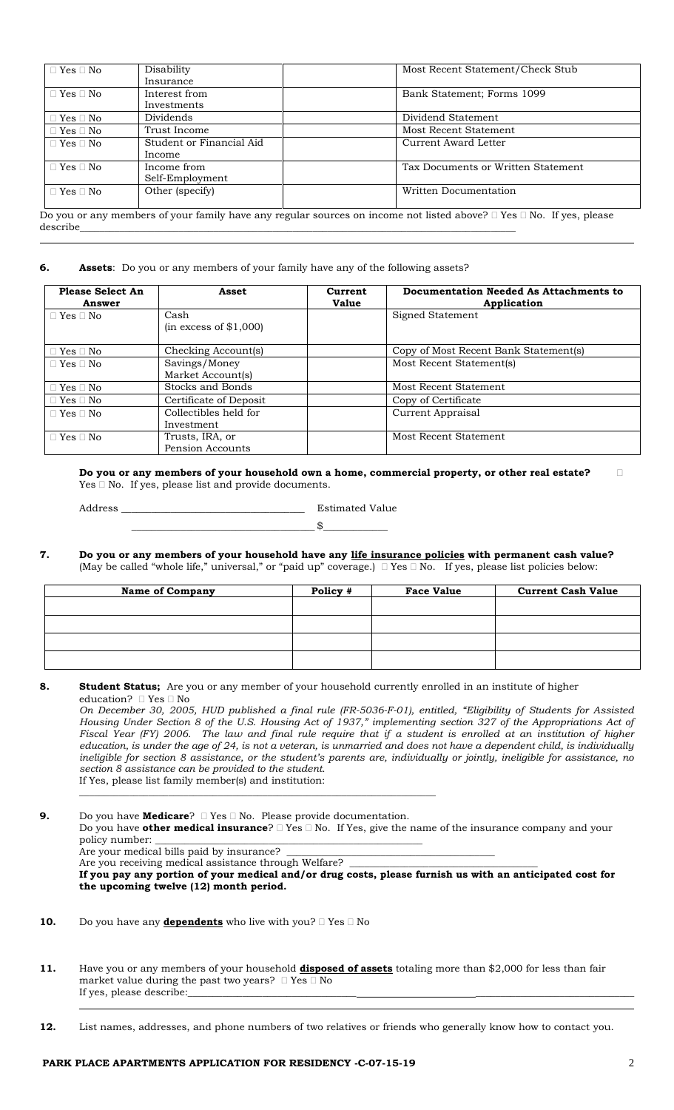| $\Box$ Yes $\Box$ No | Disability               | Most Recent Statement/Check Stub                                                                                               |
|----------------------|--------------------------|--------------------------------------------------------------------------------------------------------------------------------|
|                      | Insurance                |                                                                                                                                |
| $\Box$ Yes $\Box$ No | Interest from            | Bank Statement; Forms 1099                                                                                                     |
|                      | Investments              |                                                                                                                                |
| $\Box$ Yes $\Box$ No | Dividends                | Dividend Statement                                                                                                             |
| $\Box$ Yes $\Box$ No | Trust Income             | Most Recent Statement                                                                                                          |
| $\Box$ Yes $\Box$ No | Student or Financial Aid | Current Award Letter                                                                                                           |
|                      | Income                   |                                                                                                                                |
| $\Box$ Yes $\Box$ No | Income from              | Tax Documents or Written Statement                                                                                             |
|                      | Self-Employment          |                                                                                                                                |
| $\Box$ Yes $\Box$ No | Other (specify)          | Written Documentation                                                                                                          |
|                      |                          |                                                                                                                                |
|                      |                          | Do you or any members of your family have any regular sources on income not listed above? $\Box$ Yes $\Box$ No. If yes, please |

describe\_\_\_\_\_\_\_\_\_\_\_\_\_\_\_\_\_\_\_\_\_\_\_\_\_\_\_\_\_\_\_\_\_\_\_\_\_\_\_\_\_\_\_\_\_\_\_\_\_\_\_\_\_\_\_\_\_\_\_\_\_\_\_\_\_\_\_\_\_\_\_\_\_\_\_\_\_\_\_\_\_\_\_\_\_\_\_\_

## **6. Assets**: Do you or any members of your family have any of the following assets?

 $\frac{\$}$ 

| <b>Please Select An</b><br>Answer | Asset                          | Current<br><b>Value</b> | <b>Documentation Needed As Attachments to</b><br>Application |
|-----------------------------------|--------------------------------|-------------------------|--------------------------------------------------------------|
| $\Box$ Yes $\Box$ No              | Cash<br>(in excess of \$1,000) |                         | Signed Statement                                             |
| $\Box$ Yes $\Box$ No              | Checking Account(s)            |                         | Copy of Most Recent Bank Statement(s)                        |
| $\sqcap$ Yes $\sqcap$ No.         | Savings/Money                  |                         | Most Recent Statement(s)                                     |
|                                   | Market Account(s)              |                         |                                                              |
| $\Box$ Yes $\Box$ No $\Box$       | Stocks and Bonds               |                         | Most Recent Statement                                        |
| $\Box$ Yes $\Box$ No              | Certificate of Deposit         |                         | Copy of Certificate                                          |
| $\Box$ Yes $\Box$ No              | Collectibles held for          |                         | Current Appraisal                                            |
|                                   | Investment                     |                         |                                                              |
| $\Box$ Yes $\Box$ No              | Trusts, IRA, or                |                         | Most Recent Statement                                        |
|                                   | Pension Accounts               |                         |                                                              |

**Do you or any members of your household own a home, commercial property, or other real estate?**  $Yes \Box No$ . If yes, please list and provide documents.

Address **Estimated Value** 

**7. Do you or any members of your household have any life insurance policies with permanent cash value?** (May be called "whole life," universal," or "paid up" coverage.)  $\Box$  Yes  $\Box$  No. If yes, please list policies below:

| <b>Name of Company</b> | Policy # | <b>Face Value</b> | <b>Current Cash Value</b> |
|------------------------|----------|-------------------|---------------------------|
|                        |          |                   |                           |
|                        |          |                   |                           |
|                        |          |                   |                           |
|                        |          |                   |                           |

#### **8. Student Status;** Are you or any member of your household currently enrolled in an institute of higher education? I Yes I No

*On December 30, 2005, HUD published a final rule (FR-5036-F-01), entitled, "Eligibility of Students for Assisted Housing Under Section 8 of the U.S. Housing Act of 1937," implementing section 327 of the Appropriations Act of Fiscal Year (FY) 2006. The law and final rule require that if a student is enrolled at an institution of higher education, is under the age of 24, is not a veteran, is unmarried and does not have a dependent child, is individually ineligible for section 8 assistance, or the student's parents are, individually or jointly, ineligible for assistance, no section 8 assistance can be provided to the student.*  If Yes, please list family member(s) and institution:

**9.** Do you have **Medicare**?  $\Box$  Yes  $\Box$  No. Please provide documentation. Do you have **other medical insurance**?  $\Box$  Yes  $\Box$  No. If Yes, give the name of the insurance company and your policy number:

 $\_$  , and the set of the set of the set of the set of the set of the set of the set of the set of the set of the set of the set of the set of the set of the set of the set of the set of the set of the set of the set of th

Are your medical bills paid by insurance? Are you receiving medical assistance through Welfare?

**If you pay any portion of your medical and/or drug costs, please furnish us with an anticipated cost for the upcoming twelve (12) month period.** 

- **10.** Do you have any **dependents** who live with you?  $\Box$  Yes  $\Box$  No
- **11.** Have you or any members of your household **disposed of assets** totaling more than \$2,000 for less than fair market value during the past two years?  $\Box$  <br>Yes  $\Box$  <br>No If yes, please describe:
- **12.** List names, addresses, and phone numbers of two relatives or friends who generally know how to contact you.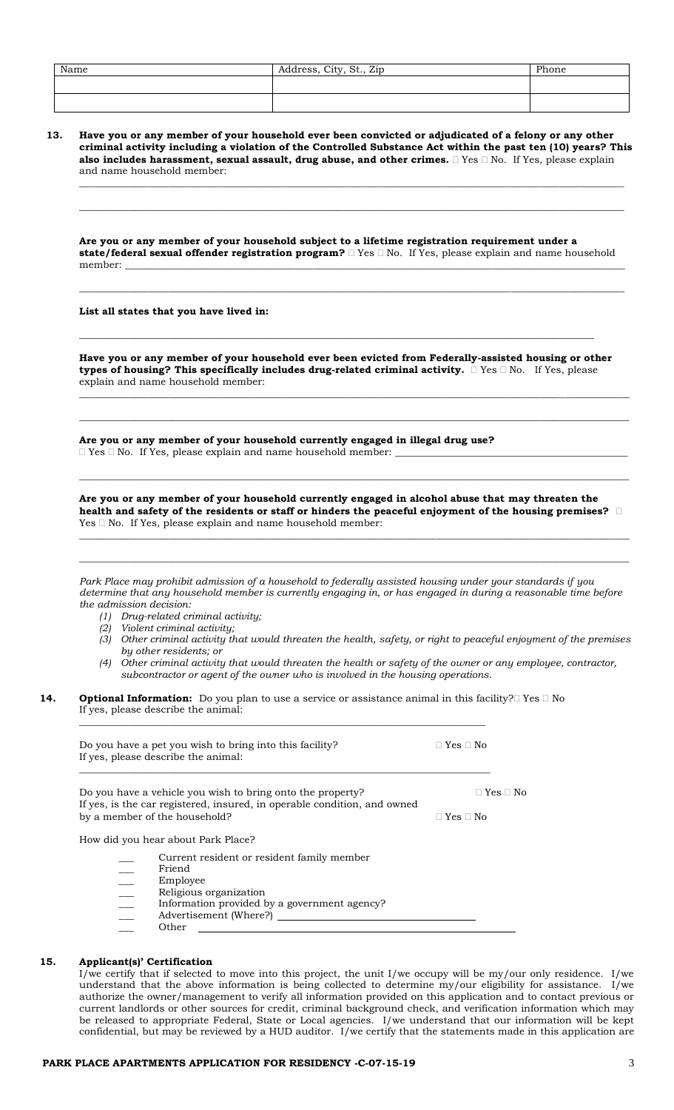| Name | Address, City, St., Zip | Phone |
|------|-------------------------|-------|
|      |                         |       |
|      |                         |       |

**13. Have you or any member of your household ever been convicted or adjudicated of a felony or any other criminal activity including a violation of the Controlled Substance Act within the past ten (10) years? This also includes harassment, sexual assault, drug abuse, and other crimes.**  $\Box$  Yes  $\Box$  No. If Yes, please explain and name household member:

**\_\_\_\_\_\_\_\_\_\_\_\_\_\_\_\_\_\_\_\_\_\_\_\_\_\_\_\_\_\_\_\_\_\_\_\_\_\_\_\_\_\_\_\_\_\_\_\_\_\_\_\_\_\_\_\_\_\_\_\_\_\_\_\_\_\_\_\_\_\_\_\_\_\_\_\_\_\_\_\_\_\_\_\_\_\_\_\_\_\_\_\_\_\_\_\_\_\_\_\_\_\_\_\_\_\_\_\_\_\_**

**\_\_\_\_\_\_\_\_\_\_\_\_\_\_\_\_\_\_\_\_\_\_\_\_\_\_\_\_\_\_\_\_\_\_\_\_\_\_\_\_\_\_\_\_\_\_\_\_\_\_\_\_\_\_\_\_\_\_\_\_\_\_\_\_\_\_\_\_\_\_\_\_\_\_\_\_\_\_\_\_\_\_\_\_\_\_\_\_\_\_\_\_\_\_\_\_\_\_\_\_\_\_\_\_\_\_\_\_\_\_**

**Are you or any member of your household subject to a lifetime registration requirement under a state/federal sexual offender registration program?**  $\Box$  Yes  $\Box$  No. If Yes, please explain and name household member: **\_\_\_\_\_\_\_\_\_\_\_\_\_\_\_\_\_\_\_\_\_\_\_\_\_\_\_\_\_\_\_\_\_\_\_\_\_\_\_\_\_\_\_\_\_\_\_\_\_\_\_\_\_\_\_\_\_\_\_\_\_\_\_\_\_\_\_\_\_\_\_\_\_\_\_\_\_\_\_\_\_\_\_\_\_\_\_\_\_\_\_\_\_\_\_\_\_\_\_\_\_**

**\_\_\_\_\_\_\_\_\_\_\_\_\_\_\_\_\_\_\_\_\_\_\_\_\_\_\_\_\_\_\_\_\_\_\_\_\_\_\_\_\_\_\_\_\_\_\_\_\_\_\_\_\_\_\_\_\_\_\_\_\_\_\_\_\_\_\_\_\_\_\_\_\_\_\_\_\_\_\_\_\_\_\_\_\_\_\_\_\_\_\_\_\_\_\_\_\_\_\_\_\_\_\_\_\_\_\_\_\_\_**

# **List all states that you have lived in:**

**Have you or any member of your household ever been evicted from Federally-assisted housing or other**  types of housing? This specifically includes drug-related criminal activity. **No. If Yes, please** explain and name household member:

**\_\_\_\_\_\_\_\_\_\_\_\_\_\_\_\_\_\_\_\_\_\_\_\_\_\_\_\_\_\_\_\_\_\_\_\_\_\_\_\_\_\_\_\_\_\_\_\_\_\_\_\_\_\_\_\_\_\_\_\_\_\_\_\_\_\_\_\_\_\_\_\_\_\_\_\_\_\_\_\_\_\_\_\_\_\_\_\_\_\_\_\_\_\_\_\_\_\_\_\_\_\_\_\_\_\_\_\_\_\_\_**

**\_\_\_\_\_\_\_\_\_\_\_\_\_\_\_\_\_\_\_\_\_\_\_\_\_\_\_\_\_\_\_\_\_\_\_\_\_\_\_\_\_\_\_\_\_\_\_\_\_\_\_\_\_\_\_\_\_\_\_\_\_\_\_\_\_\_\_\_\_\_\_\_\_\_\_\_\_\_\_\_\_\_\_\_\_\_\_\_\_\_\_\_\_\_\_\_\_\_\_\_\_\_\_\_\_\_\_\_\_\_\_**

**\_\_\_\_\_\_\_\_\_\_\_\_\_\_\_\_\_\_\_\_\_\_\_\_\_\_\_\_\_\_\_\_\_\_\_\_\_\_\_\_\_\_\_\_\_\_\_\_\_\_\_\_\_\_\_\_\_\_\_\_\_\_\_\_\_\_\_\_\_\_\_\_\_\_\_\_\_\_\_\_\_\_\_\_\_\_\_\_\_\_\_\_\_\_\_\_\_\_\_\_\_\_\_\_**

**Are you or any member of your household currently engaged in illegal drug use?**  $\square$  <br>Yes  $\square$  <br>No. <br> <br>If Yes, please explain and name household member:

**Are you or any member of your household currently engaged in alcohol abuse that may threaten the health and safety of the residents or staff or hinders the peaceful enjoyment of the housing premises?**   $Yes \Box No$ . If Yes, please explain and name household member:

**\_\_\_\_\_\_\_\_\_\_\_\_\_\_\_\_\_\_\_\_\_\_\_\_\_\_\_\_\_\_\_\_\_\_\_\_\_\_\_\_\_\_\_\_\_\_\_\_\_\_\_\_\_\_\_\_\_\_\_\_\_\_\_\_\_\_\_\_\_\_\_\_\_\_\_\_\_\_\_\_\_\_\_\_\_\_\_\_\_\_\_\_\_\_\_\_\_\_\_\_\_\_\_\_\_\_\_\_\_\_\_**

**\_\_\_\_\_\_\_\_\_\_\_\_\_\_\_\_\_\_\_\_\_\_\_\_\_\_\_\_\_\_\_\_\_\_\_\_\_\_\_\_\_\_\_\_\_\_\_\_\_\_\_\_\_\_\_\_\_\_\_\_\_\_\_\_\_\_\_\_\_\_\_\_\_\_\_\_\_\_\_\_\_\_\_\_\_\_\_\_\_\_\_\_\_\_\_\_\_\_\_\_\_\_\_\_\_\_\_\_\_\_\_**

**\_\_\_\_\_\_\_\_\_\_\_\_\_\_\_\_\_\_\_\_\_\_\_\_\_\_\_\_\_\_\_\_\_\_\_\_\_\_\_\_\_\_\_\_\_\_\_\_\_\_\_\_\_\_\_\_\_\_\_\_\_\_\_\_\_\_\_\_\_\_\_\_\_\_\_\_\_\_\_\_\_\_\_\_\_\_\_\_\_\_\_\_\_\_\_\_\_\_\_\_\_\_\_\_\_\_\_\_\_\_\_**

*Park Place may prohibit admission of a household to federally assisted housing under your standards if you determine that any household member is currently engaging in, or has engaged in during a reasonable time before the admission decision:*

- *(1) Drug-related criminal activity;*
- *(2) Violent criminal activity;*
- *(3) Other criminal activity that would threaten the health, safety, or right to peaceful enjoyment of the premises by other residents; or*
- *(4) Other criminal activity that would threaten the health or safety of the owner or any employee, contractor, subcontractor or agent of the owner who is involved in the housing operations.*
- **14. Optional Information:** Do you plan to use a service or assistance animal in this facility? Yes  $\Box$  No If yes, please describe the animal:  $\mathcal{L}_\text{max} = \mathcal{L}_\text{max} = \mathcal{L}_\text{max} = \mathcal{L}_\text{max} = \mathcal{L}_\text{max} = \mathcal{L}_\text{max} = \mathcal{L}_\text{max} = \mathcal{L}_\text{max} = \mathcal{L}_\text{max} = \mathcal{L}_\text{max} = \mathcal{L}_\text{max} = \mathcal{L}_\text{max} = \mathcal{L}_\text{max} = \mathcal{L}_\text{max} = \mathcal{L}_\text{max} = \mathcal{L}_\text{max} = \mathcal{L}_\text{max} = \mathcal{L}_\text{max} = \mathcal{$

|                                | Do you have a pet you wish to bring into this facility?<br>If yes, please describe the animal:                                                                                | $\Box$ Yes $\Box$ No                         |
|--------------------------------|-------------------------------------------------------------------------------------------------------------------------------------------------------------------------------|----------------------------------------------|
|                                | Do you have a vehicle you wish to bring onto the property?<br>If yes, is the car registered, insured, in operable condition, and owned<br>by a member of the household?       | $\Box$ Yes $\Box$ No<br>$\Box$ Yes $\Box$ No |
|                                | How did you hear about Park Place?                                                                                                                                            |                                              |
| L.<br>$\overline{\phantom{a}}$ | Current resident or resident family member<br>Friend<br>Employee<br>Religious organization<br>Information provided by a government agency?<br>Advertisement (Where?)<br>Other |                                              |

#### **15. Applicant(s)' Certification**

I/we certify that if selected to move into this project, the unit I/we occupy will be my/our only residence. I/we understand that the above information is being collected to determine my/our eligibility for assistance. I/we authorize the owner/management to verify all information provided on this application and to contact previous or current landlords or other sources for credit, criminal background check, and verification information which may be released to appropriate Federal, State or Local agencies. I/we understand that our information will be kept confidential, but may be reviewed by a HUD auditor. I/we certify that the statements made in this application are